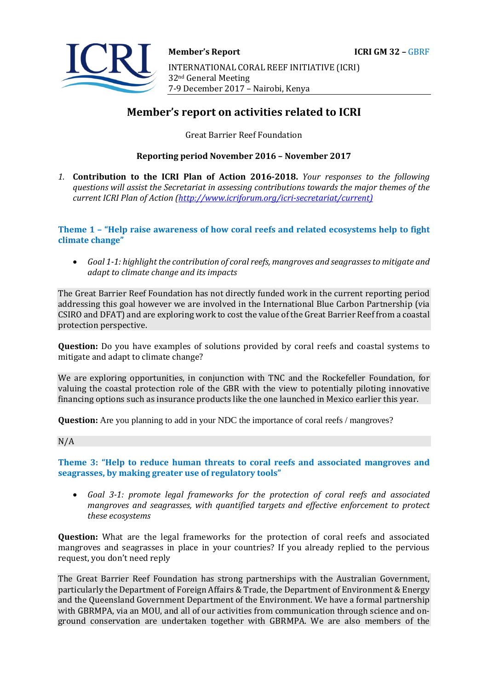

# **Member's report on activities related to ICRI**

Great Barrier Reef Foundation

# **Reporting period November 2016 – November 2017**

*1.* **Contribution to the ICRI Plan of Action 2016-2018.** *Your responses to the following questions will assist the Secretariat in assessing contributions towards the major themes of the current ICRI Plan of Action [\(http://www.icriforum.org/icri-secretariat/current\)](http://www.icriforum.org/icri-secretariat/current))*

**Theme 1 – "Help raise awareness of how coral reefs and related ecosystems help to fight climate change"** 

• *Goal 1-1: highlight the contribution of coral reefs, mangroves and seagrasses to mitigate and adapt to climate change and its impacts* 

The Great Barrier Reef Foundation has not directly funded work in the current reporting period addressing this goal however we are involved in the International Blue Carbon Partnership (via CSIRO and DFAT) and are exploring work to cost the value of the Great Barrier Reef from a coastal protection perspective.

**Question:** Do you have examples of solutions provided by coral reefs and coastal systems to mitigate and adapt to climate change?

We are exploring opportunities, in conjunction with TNC and the Rockefeller Foundation, for valuing the coastal protection role of the GBR with the view to potentially piloting innovative financing options such as insurance products like the one launched in Mexico earlier this year.

**Question:** Are you planning to add in your NDC the importance of coral reefs / mangroves?

#### N/A

**Theme 3: "Help to reduce human threats to coral reefs and associated mangroves and seagrasses, by making greater use of regulatory tools"** 

• *Goal 3-1: promote legal frameworks for the protection of coral reefs and associated mangroves and seagrasses, with quantified targets and effective enforcement to protect these ecosystems* 

**Question:** What are the legal frameworks for the protection of coral reefs and associated mangroves and seagrasses in place in your countries? If you already replied to the pervious request, you don't need reply

The Great Barrier Reef Foundation has strong partnerships with the Australian Government, particularly the Department of Foreign Affairs & Trade, the Department of Environment & Energy and the Queensland Government Department of the Environment. We have a formal partnership with GBRMPA, via an MOU, and all of our activities from communication through science and onground conservation are undertaken together with GBRMPA. We are also members of the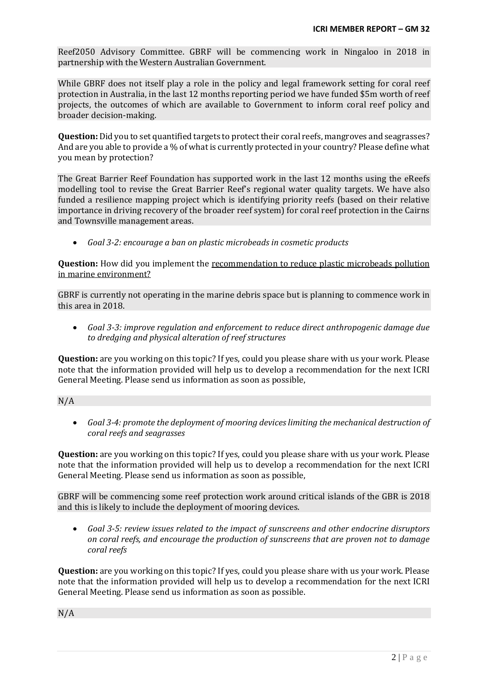Reef2050 Advisory Committee. GBRF will be commencing work in Ningaloo in 2018 in partnership with the Western Australian Government.

While GBRF does not itself play a role in the policy and legal framework setting for coral reef protection in Australia, in the last 12 months reporting period we have funded \$5m worth of reef projects, the outcomes of which are available to Government to inform coral reef policy and broader decision-making.

**Question:**Did you to set quantified targets to protect their coral reefs, mangroves and seagrasses? And are you able to provide a % of what is currently protected in your country? Please define what you mean by protection?

The Great Barrier Reef Foundation has supported work in the last 12 months using the eReefs modelling tool to revise the Great Barrier Reef's regional water quality targets. We have also funded a resilience mapping project which is identifying priority reefs (based on their relative importance in driving recovery of the broader reef system) for coral reef protection in the Cairns and Townsville management areas.

• *Goal 3-2: encourage a ban on plastic microbeads in cosmetic products* 

**Question:** How did you implement the recommendation to reduce plastic microbeads pollution in marine environment?

GBRF is currently not operating in the marine debris space but is planning to commence work in this area in 2018.

• *Goal 3-3: improve regulation and enforcement to reduce direct anthropogenic damage due to dredging and physical alteration of reef structures* 

**Question:** are you working on this topic? If yes, could you please share with us your work. Please note that the information provided will help us to develop a recommendation for the next ICRI General Meeting. Please send us information as soon as possible,

N/A

• *Goal 3-4: promote the deployment of mooring devices limiting the mechanical destruction of coral reefs and seagrasses* 

**Question:** are you working on this topic? If yes, could you please share with us your work. Please note that the information provided will help us to develop a recommendation for the next ICRI General Meeting. Please send us information as soon as possible,

GBRF will be commencing some reef protection work around critical islands of the GBR is 2018 and this is likely to include the deployment of mooring devices.

• *Goal 3-5: review issues related to the impact of sunscreens and other endocrine disruptors on coral reefs, and encourage the production of sunscreens that are proven not to damage coral reefs* 

**Question:** are you working on this topic? If yes, could you please share with us your work. Please note that the information provided will help us to develop a recommendation for the next ICRI General Meeting. Please send us information as soon as possible.

N/A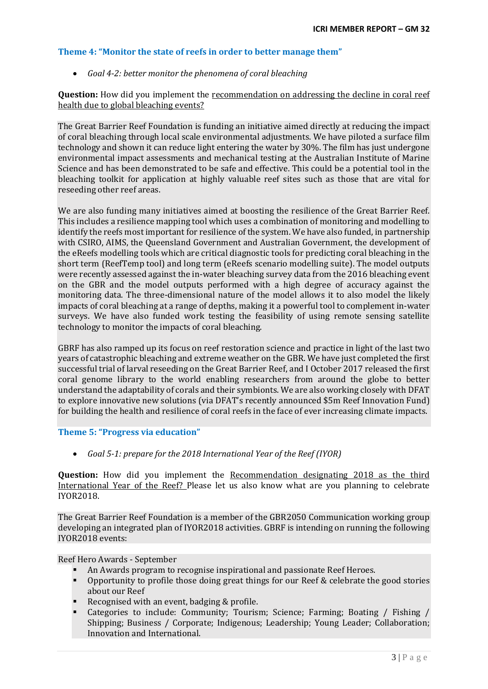# **Theme 4: "Monitor the state of reefs in order to better manage them"**

# • *Goal 4-2: better monitor the phenomena of coral bleaching*

# **Question:** How did you implement the recommendation on addressing the decline in coral reef health due to global bleaching events?

The Great Barrier Reef Foundation is funding an initiative aimed directly at reducing the impact of coral bleaching through local scale environmental adjustments. We have piloted a surface film technology and shown it can reduce light entering the water by 30%. The film has just undergone environmental impact assessments and mechanical testing at the Australian Institute of Marine Science and has been demonstrated to be safe and effective. This could be a potential tool in the bleaching toolkit for application at highly valuable reef sites such as those that are vital for reseeding other reef areas.

We are also funding many initiatives aimed at boosting the resilience of the Great Barrier Reef. This includes a resilience mapping tool which uses a combination of monitoring and modelling to identify the reefs most important for resilience of the system. We have also funded, in partnership with CSIRO, AIMS, the Queensland Government and Australian Government, the development of the eReefs modelling tools which are critical diagnostic tools for predicting coral bleaching in the short term (ReefTemp tool) and long term (eReefs scenario modelling suite). The model outputs were recently assessed against the in-water bleaching survey data from the 2016 bleaching event on the GBR and the model outputs performed with a high degree of accuracy against the monitoring data. The three-dimensional nature of the model allows it to also model the likely impacts of coral bleaching at a range of depths, making it a powerful tool to complement in-water surveys. We have also funded work testing the feasibility of using remote sensing satellite technology to monitor the impacts of coral bleaching.

GBRF has also ramped up its focus on reef restoration science and practice in light of the last two years of catastrophic bleaching and extreme weather on the GBR. We have just completed the first successful trial of larval reseeding on the Great Barrier Reef, and I October 2017 released the first coral genome library to the world enabling researchers from around the globe to better understand the adaptability of corals and their symbionts. We are also working closely with DFAT to explore innovative new solutions (via DFAT's recently announced \$5m Reef Innovation Fund) for building the health and resilience of coral reefs in the face of ever increasing climate impacts.

### **Theme 5: "Progress via education"**

• *Goal 5-1: prepare for the 2018 International Year of the Reef (IYOR)* 

**Question:** How did you implement the Recommendation designating 2018 as the third International Year of the Reef? Please let us also know what are you planning to celebrate IYOR2018.

The Great Barrier Reef Foundation is a member of the GBR2050 Communication working group developing an integrated plan of IYOR2018 activities. GBRF is intending on running the following IYOR2018 events:

Reef Hero Awards - September

- An Awards program to recognise inspirational and passionate Reef Heroes.
- Opportunity to profile those doing great things for our Reef & celebrate the good stories about our Reef
- Recognised with an event, badging & profile.
- Categories to include: Community; Tourism; Science; Farming; Boating / Fishing / Shipping; Business / Corporate; Indigenous; Leadership; Young Leader; Collaboration; Innovation and International.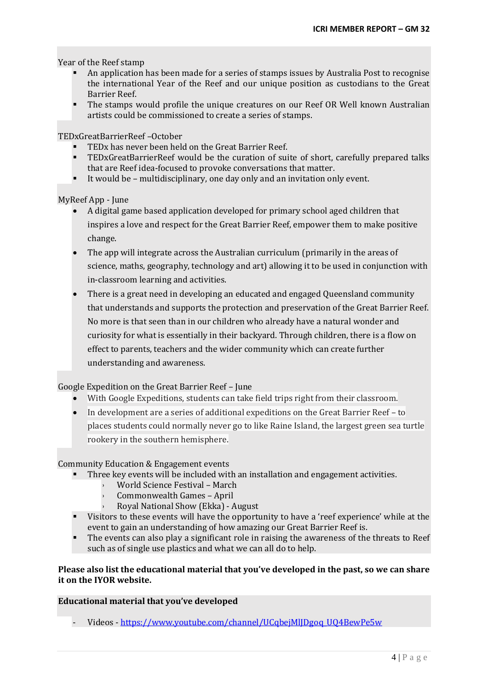Year of the Reef stamp

- An application has been made for a series of stamps issues by Australia Post to recognise the international Year of the Reef and our unique position as custodians to the Great Barrier Reef.
- The stamps would profile the unique creatures on our Reef OR Well known Australian artists could be commissioned to create a series of stamps.

TEDxGreatBarrierReef –October

- TEDx has never been held on the Great Barrier Reef.
- TEDxGreatBarrierReef would be the curation of suite of short, carefully prepared talks that are Reef idea-focused to provoke conversations that matter.
- It would be multidisciplinary, one day only and an invitation only event.

MyReef App - June

- A digital game based application developed for primary school aged children that inspires a love and respect for the Great Barrier Reef, empower them to make positive change.
- The app will integrate across the Australian curriculum (primarily in the areas of science, maths, geography, technology and art) allowing it to be used in conjunction with in-classroom learning and activities.
- There is a great need in developing an educated and engaged Queensland community that understands and supports the protection and preservation of the Great Barrier Reef. No more is that seen than in our children who already have a natural wonder and curiosity for what is essentially in their backyard. Through children, there is a flow on effect to parents, teachers and the wider community which can create further understanding and awareness.

### Google Expedition on the Great Barrier Reef – June

- With Google Expeditions, students can take field trips right from their classroom.
- In development are a series of additional expeditions on the Great Barrier Reef to places students could normally never go to like Raine Island, the largest green sea turtle rookery in the southern hemisphere.

Community Education & Engagement events

- Three key events will be included with an installation and engagement activities.
	- World Science Festival March
	- Commonwealth Games April
	- › Royal National Show (Ekka) August
- Visitors to these events will have the opportunity to have a 'reef experience' while at the event to gain an understanding of how amazing our Great Barrier Reef is.
- The events can also play a significant role in raising the awareness of the threats to Reef such as of single use plastics and what we can all do to help.

### **Please also list the educational material that you've developed in the past, so we can share it on the IYOR website.**

### **Educational material that you've developed**

- Videos - [https://www.youtube.com/channel/UCqbejMlJDgoq\\_UQ4BewPe5w](https://www.youtube.com/channel/UCqbejMlJDgoq_UQ4BewPe5w)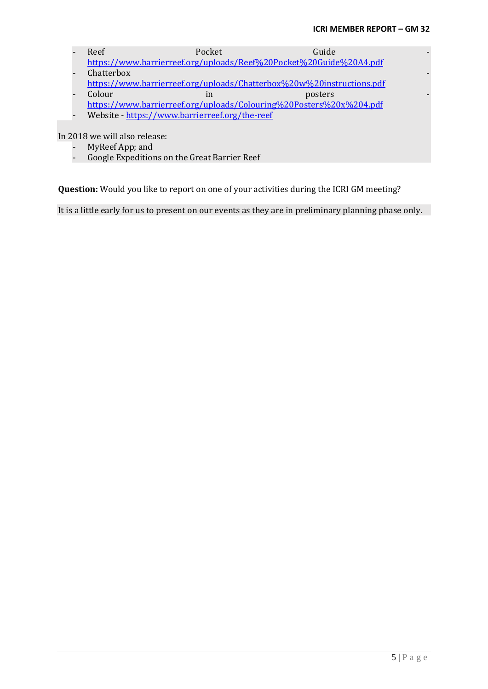- Reef Pocket Guide <https://www.barrierreef.org/uploads/Reef%20Pocket%20Guide%20A4.pdf>
- Chatterbox <https://www.barrierreef.org/uploads/Chatterbox%20w%20instructions.pdf>
- Colour in posters posters <https://www.barrierreef.org/uploads/Colouring%20Posters%20x%204.pdf>
- Website <https://www.barrierreef.org/the-reef>

In 2018 we will also release:

- MyReef App; and<br>- Google Expedition
- Google Expeditions on the Great Barrier Reef

**Question:** Would you like to report on one of your activities during the ICRI GM meeting?

It is a little early for us to present on our events as they are in preliminary planning phase only.